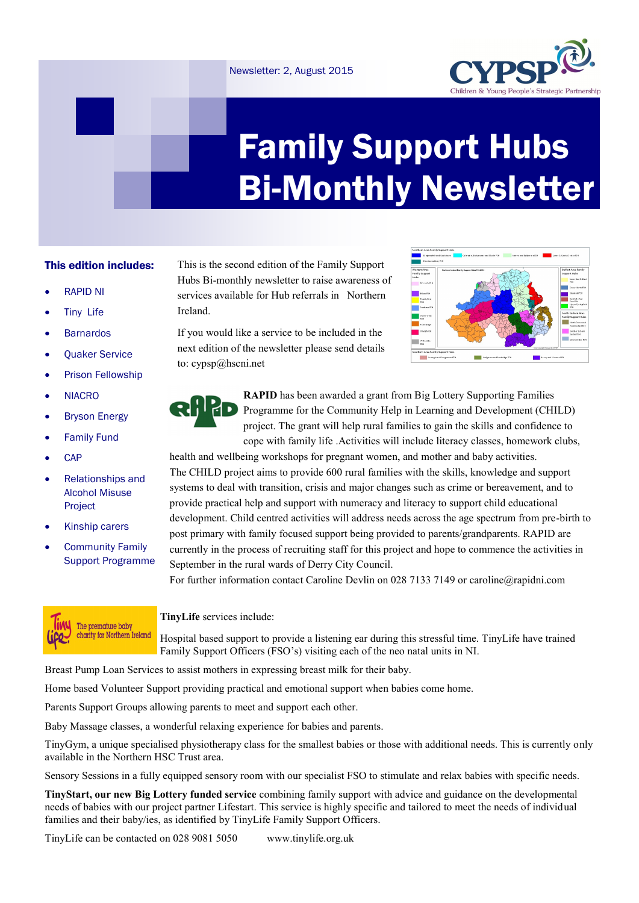## Newsletter: 2, August 2015



# Family Support Hubs Bi-Monthly Newsletter

## This edition includes:

- RAPID NI
- Tiny Life
- **Barnardos**
- Quaker Service
- Prison Fellowship
- **NIACRO**
- Bryson Energy
- **•** Family Fund
- **CAP**
- Relationships and Alcohol Misuse Project
- Kinship carers
- Community Family Support Programme



# This is the second edition of the Family Support Hubs Bi-monthly newsletter to raise awareness of services available for Hub referrals in Northern Ireland.

If you would like a service to be included in the next edition of the newsletter please send details to: cypsp@hscni.net





**RAPID** has been awarded a grant from Big Lottery Supporting Families Programme for the Community Help in Learning and Development (CHILD) project. The grant will help rural families to gain the skills and confidence to cope with family life .Activities will include literacy classes, homework clubs,

health and wellbeing workshops for pregnant women, and mother and baby activities. The CHILD project aims to provide 600 rural families with the skills, knowledge and support systems to deal with transition, crisis and major changes such as crime or bereavement, and to provide practical help and support with numeracy and literacy to support child educational development. Child centred activities will address needs across the age spectrum from pre-birth to post primary with family focused support being provided to parents/grandparents. RAPID are currently in the process of recruiting staff for this project and hope to commence the activities in September in the rural wards of Derry City Council.

For further information contact Caroline Devlin on 028 7133 7149 or caroline@rapidni.com

### **TinyLife** services include:

Hospital based support to provide a listening ear during this stressful time. TinyLife have trained Family Support Officers (FSO's) visiting each of the neo natal units in NI.

Breast Pump Loan Services to assist mothers in expressing breast milk for their baby.

Home based Volunteer Support providing practical and emotional support when babies come home.

Parents Support Groups allowing parents to meet and support each other.

Baby Massage classes, a wonderful relaxing experience for babies and parents.

TinyGym, a unique specialised physiotherapy class for the smallest babies or those with additional needs. This is currently only available in the Northern HSC Trust area.

Sensory Sessions in a fully equipped sensory room with our specialist FSO to stimulate and relax babies with specific needs.

**TinyStart, our new Big Lottery funded service** combining family support with advice and guidance on the developmental needs of babies with our project partner Lifestart. This service is highly specific and tailored to meet the needs of individual families and their baby/ies, as identified by TinyLife Family Support Officers.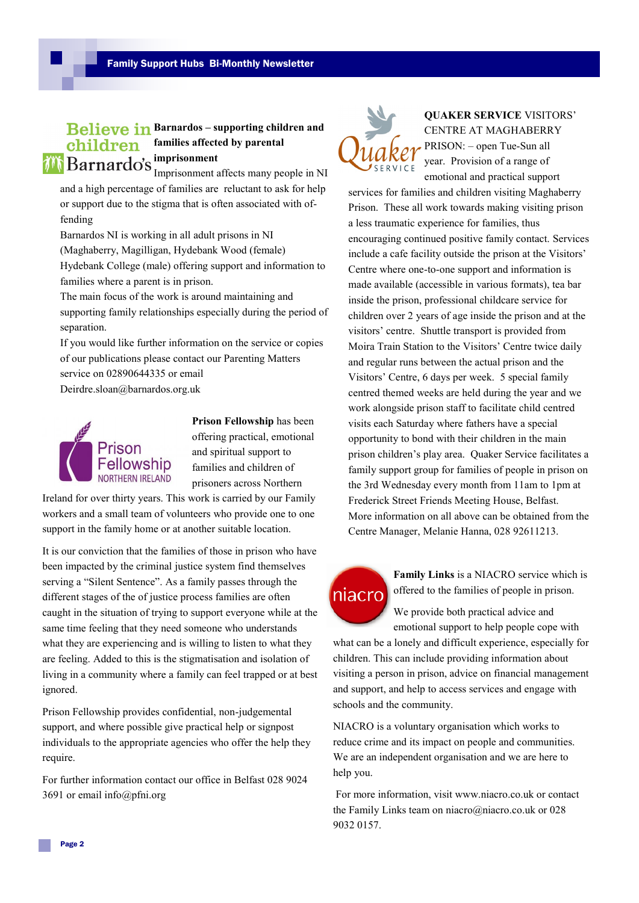# **Believe in Barnardos – supporting children and** *children* families affected by parental *i***<sup>i</sup> Barnardo's** imprisonment Imprisonment affects many people in NI

and a high percentage of families are reluctant to ask for help or support due to the stigma that is often associated with offending

Barnardos NI is working in all adult prisons in NI (Maghaberry, Magilligan, Hydebank Wood (female) Hydebank College (male) offering support and information to families where a parent is in prison.

The main focus of the work is around maintaining and supporting family relationships especially during the period of separation.

If you would like further information on the service or copies of our publications please contact our Parenting Matters service on 02890644335 or email

Deirdre.sloan@barnardos.org.uk



**Prison Fellowship** has been offering practical, emotional and spiritual support to families and children of prisoners across Northern

Ireland for over thirty years. This work is carried by our Family workers and a small team of volunteers who provide one to one support in the family home or at another suitable location.

It is our conviction that the families of those in prison who have been impacted by the criminal justice system find themselves serving a "Silent Sentence". As a family passes through the different stages of the of justice process families are often caught in the situation of trying to support everyone while at the same time feeling that they need someone who understands what they are experiencing and is willing to listen to what they are feeling. Added to this is the stigmatisation and isolation of living in a community where a family can feel trapped or at best ignored.

Prison Fellowship provides confidential, non-judgemental support, and where possible give practical help or signpost individuals to the appropriate agencies who offer the help they require.

For further information contact our office in Belfast 028 9024 3691 or email info@pfni.org



**QUAKER SERVICE** VISITORS' CENTRE AT MAGHABERRY PRISON: – open Tue-Sun all year. Provision of a range of emotional and practical support

services for families and children visiting Maghaberry Prison. These all work towards making visiting prison a less traumatic experience for families, thus encouraging continued positive family contact. Services include a cafe facility outside the prison at the Visitors' Centre where one-to-one support and information is made available (accessible in various formats), tea bar inside the prison, professional childcare service for children over 2 years of age inside the prison and at the visitors' centre. Shuttle transport is provided from Moira Train Station to the Visitors' Centre twice daily and regular runs between the actual prison and the Visitors' Centre, 6 days per week. 5 special family centred themed weeks are held during the year and we work alongside prison staff to facilitate child centred visits each Saturday where fathers have a special opportunity to bond with their children in the main prison children's play area. Quaker Service facilitates a family support group for families of people in prison on the 3rd Wednesday every month from 11am to 1pm at Frederick Street Friends Meeting House, Belfast. More information on all above can be obtained from the Centre Manager, Melanie Hanna, 028 92611213.



**Family Links** is a NIACRO service which is offered to the families of people in prison.

We provide both practical advice and emotional support to help people cope with

what can be a lonely and difficult experience, especially for children. This can include providing information about visiting a person in prison, advice on financial management and support, and help to access services and engage with schools and the community.

NIACRO is a voluntary organisation which works to reduce crime and its impact on people and communities. We are an independent organisation and we are here to help you.

For more information, visit www.niacro.co.uk or contact the Family Links team on niacro@niacro.co.uk or 028 9032 0157.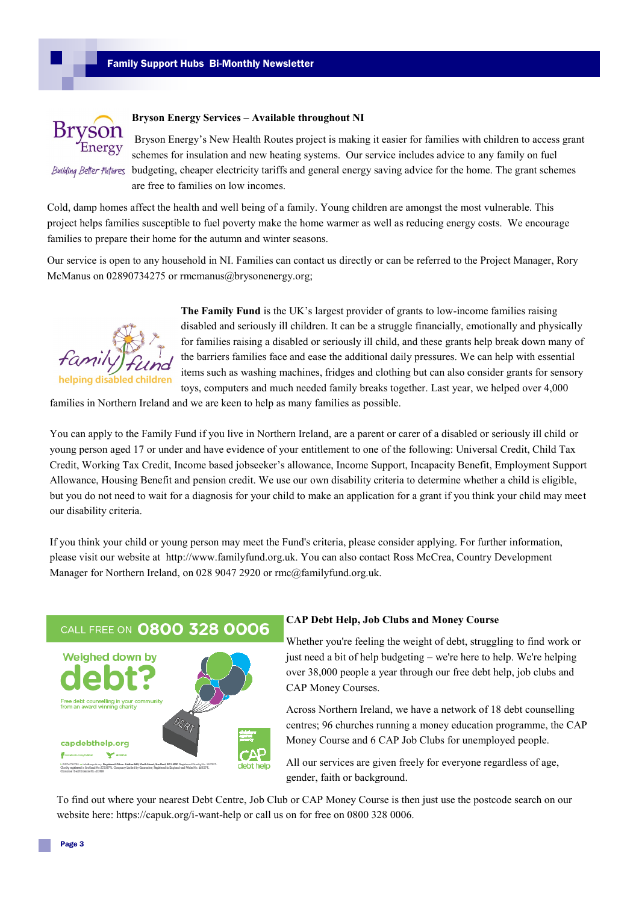

#### **Bryson Energy Services – Available throughout NI**

Bryson Energy's New Health Routes project is making it easier for families with children to access grant schemes for insulation and new heating systems. Our service includes advice to any family on fuel Building Belter Futures budgeting, cheaper electricity tariffs and general energy saving advice for the home. The grant schemes are free to families on low incomes.

Cold, damp homes affect the health and well being of a family. Young children are amongst the most vulnerable. This project helps families susceptible to fuel poverty make the home warmer as well as reducing energy costs. We encourage families to prepare their home for the autumn and winter seasons.

Our service is open to any household in NI. Families can contact us directly or can be referred to the Project Manager, Rory McManus on 02890734275 or rmcmanus@brysonenergy.org;



**The Family Fund** is the UK's largest provider of grants to low-income families raising disabled and seriously ill children. It can be a struggle financially, emotionally and physically for families raising a disabled or seriously ill child, and these grants help break down many of the barriers families face and ease the additional daily pressures. We can help with essential items such as washing machines, fridges and clothing but can also consider grants for sensory toys, computers and much needed family breaks together. Last year, we helped over 4,000

families in Northern Ireland and we are keen to help as many families as possible.

You can apply to the Family Fund if you live in Northern Ireland, are a parent or carer of a disabled or seriously ill child or young person aged 17 or under and have evidence of your entitlement to one of the following: Universal Credit, Child Tax Credit, Working Tax Credit, Income based jobseeker's allowance, Income Support, Incapacity Benefit, Employment Support Allowance, Housing Benefit and pension credit. We use our own disability criteria to determine whether a child is eligible, but you do not need to wait for a diagnosis for your child to make an application for a grant if you think your child may meet our disability criteria.

If you think your child or young person may meet the Fund's criteria, please consider applying. For further information, please visit our website at http://www.familyfund.org.uk. You can also contact Ross McCrea, Country Development Manager for Northern Ireland, on 028 9047 2920 or rmc@familyfund.org.uk.

# CALL FREE ON 0800 328 0006



#### **CAP Debt Help, Job Clubs and Money Course**

Whether you're feeling the weight of debt, struggling to find work or just need a bit of help budgeting – we're here to help. We're helping over 38,000 people a year through our free debt help, job clubs and CAP Money Courses.

Across Northern Ireland, we have a network of 18 debt counselling centres; 96 churches running a money education programme, the CAP Money Course and 6 CAP Job Clubs for unemployed people.

All our services are given freely for everyone regardless of age, gender, faith or background.

To find out where your nearest Debt Centre, Job Club or CAP Money Course is then just use the postcode search on our website here: https://capuk.org/i-want-help or call us on for free on 0800 328 0006.